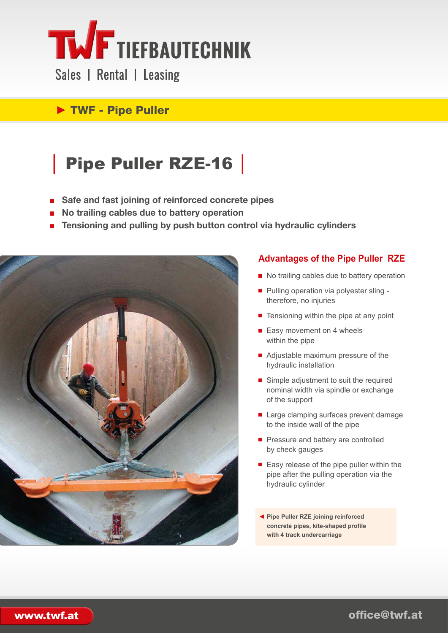

Sales | Rental | Leasing

### ► TWF - Pipe Puller

## │ Pipe Puller RZE-16 │

- Safe and fast joining of reinforced concrete pipes
- **No trailing cables due to battery operation**
- **Tensioning and pulling by push button control via hydraulic cylinders**



#### **Advantages of the Pipe Puller RZE**

- No trailing cables due to battery operation
- Pulling operation via polyester sling therefore, no injuries
- Tensioning within the pipe at any point
- Easy movement on 4 wheels within the pipe
- Adjustable maximum pressure of the hydraulic installation
- Simple adjustment to suit the required nominal width via spindle or exchange of the support
- Large clamping surfaces prevent damage to the inside wall of the pipe
- Pressure and battery are controlled by check gauges
- Easy release of the pipe puller within the pipe after the pulling operation via the hydraulic cylinder
- ◄ **Pipe Puller RZE joining reinforced concrete pipes, kite-shaped profile with 4 track undercarriage**

office@twf.at